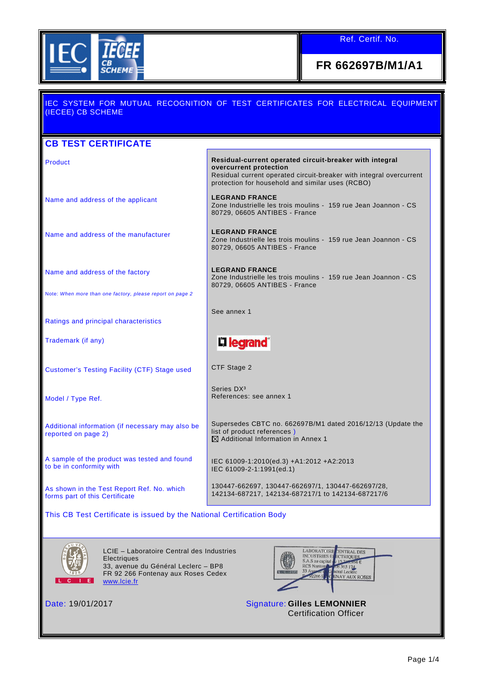

| IEC SYSTEM FOR MUTUAL RECOGNITION OF TEST CERTIFICATES FOR ELECTRICAL EQUIPMENT<br>(IECEE) CB SCHEME                                                                   |                                                                                                                                                                                                              |  |  |  |  |
|------------------------------------------------------------------------------------------------------------------------------------------------------------------------|--------------------------------------------------------------------------------------------------------------------------------------------------------------------------------------------------------------|--|--|--|--|
| <b>CB TEST CERTIFICATE</b>                                                                                                                                             |                                                                                                                                                                                                              |  |  |  |  |
| Product                                                                                                                                                                | Residual-current operated circuit-breaker with integral<br>overcurrent protection<br>Residual current operated circuit-breaker with integral overcurrent<br>protection for household and similar uses (RCBO) |  |  |  |  |
| Name and address of the applicant                                                                                                                                      | <b>LEGRAND FRANCE</b><br>Zone Industrielle les trois moulins - 159 rue Jean Joannon - CS<br>80729, 06605 ANTIBES - France                                                                                    |  |  |  |  |
| Name and address of the manufacturer                                                                                                                                   | <b>LEGRAND FRANCE</b><br>Zone Industrielle les trois moulins - 159 rue Jean Joannon - CS<br>80729, 06605 ANTIBES - France                                                                                    |  |  |  |  |
| Name and address of the factory                                                                                                                                        | <b>LEGRAND FRANCE</b><br>Zone Industrielle les trois moulins - 159 rue Jean Joannon - CS<br>80729, 06605 ANTIBES - France                                                                                    |  |  |  |  |
| Note: When more than one factory, please report on page 2                                                                                                              |                                                                                                                                                                                                              |  |  |  |  |
| Ratings and principal characteristics                                                                                                                                  | See annex 1                                                                                                                                                                                                  |  |  |  |  |
| Trademark (if any)                                                                                                                                                     | <b>LI legrand</b>                                                                                                                                                                                            |  |  |  |  |
| <b>Customer's Testing Facility (CTF) Stage used</b>                                                                                                                    | CTF Stage 2                                                                                                                                                                                                  |  |  |  |  |
| Model / Type Ref.                                                                                                                                                      | Series DX <sup>3</sup><br>References: see annex 1                                                                                                                                                            |  |  |  |  |
| Additional information (if necessary may also be<br>reported on page 2)                                                                                                | Supersedes CBTC no. 662697B/M1 dated 2016/12/13 (Update the<br>list of product references)<br>$\boxtimes$ Additional Information in Annex 1                                                                  |  |  |  |  |
| A sample of the product was tested and found<br>to be in conformity with                                                                                               | IEC 61009-1:2010(ed.3) +A1:2012 +A2:2013<br>IEC 61009-2-1:1991(ed.1)                                                                                                                                         |  |  |  |  |
| As shown in the Test Report Ref. No. which<br>forms part of this Certificate                                                                                           | 130447-662697, 130447-662697/1, 130447-662697/28,<br>142134-687217, 142134-687217/1 to 142134-687217/6                                                                                                       |  |  |  |  |
| This CB Test Certificate is issued by the National Certification Body                                                                                                  |                                                                                                                                                                                                              |  |  |  |  |
| LCIE - Laboratoire Central des Industries<br><b>Electriques</b><br>33, avenue du Général Leclerc – BP8<br>FR 92 266 Fontenay aux Roses Cedex<br>E.<br>c<br>www.lcie.fr | LABORATOIRE<br><b>CENTRAL DES</b><br><b>INDUSTRIES EI</b><br><b>ECTRIQUES</b><br>S.A.S au capital e 15.745.984 €<br>RCS Nanten 108 363 174<br>neral Leclerc<br>$-92266 F$<br><b>ENAY AUX ROSES</b>           |  |  |  |  |

Date: 19/01/2017 Signature: **Gilles LEMONNIER**  Certification Officer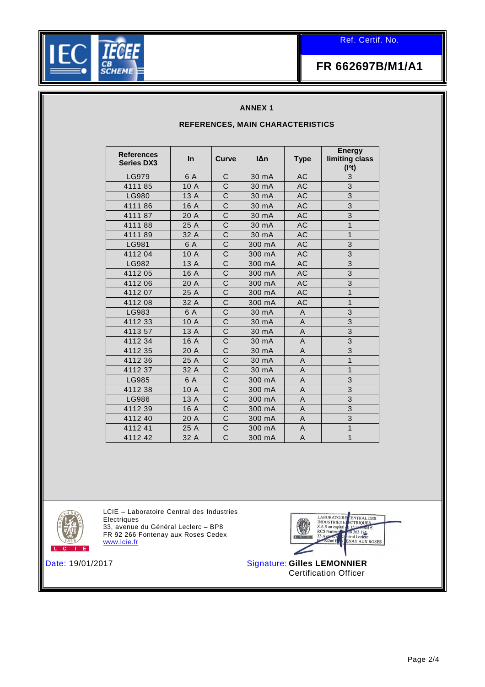

## **FR 662697B/M1/A1**

### **ANNEX 1**

#### **REFERENCES, MAIN CHARACTERISTICS**

| <b>References</b><br><b>Series DX3</b> | $\ln$ | <b>Curve</b>          | <b>I</b> An | <b>Type</b> | <b>Energy</b><br>limiting class<br>(1 <sup>2</sup> t) |
|----------------------------------------|-------|-----------------------|-------------|-------------|-------------------------------------------------------|
| LG979                                  | 6 A   | C                     | 30 mA       | AC          | 3                                                     |
| 411185                                 | 10A   | C                     | 30 mA       | AC          | 3                                                     |
| LG980                                  | 13 A  | Ċ                     | 30 mA       | <b>AC</b>   | 3                                                     |
| 411186                                 | 16 A  | Ċ                     | 30 mA       | AC          | 3                                                     |
| 411187                                 | 20 A  | Ċ                     | 30 mA       | <b>AC</b>   | 3                                                     |
| 411188                                 | 25 A  | C                     | 30 mA       | <b>AC</b>   | $\overline{1}$                                        |
| 411189                                 | 32 A  | $\overline{\text{c}}$ | 30 mA       | <b>AC</b>   | $\overline{1}$                                        |
| LG981                                  | 6 A   | Ċ                     | 300 mA      | AC          | 3                                                     |
| 4112 04                                | 10 A  | $\overline{\rm c}$    | 300 mA      | <b>AC</b>   | 3                                                     |
| LG982                                  | 13 A  | Ċ                     | 300 mA      | AC          | 3                                                     |
| 4112 05                                | 16 A  | C                     | 300 mA      | <b>AC</b>   | $\overline{3}$                                        |
| 4112 06                                | 20 A  | Ċ                     | 300 mA      | <b>AC</b>   | 3                                                     |
| 4112 07                                | 25 A  | C                     | 300 mA      | AC          | 1                                                     |
| 4112 08                                | 32 A  | Ċ                     | 300 mA      | <b>AC</b>   | 1                                                     |
| LG983                                  | 6 A   | $\overline{\text{c}}$ | 30 mA       | A           | 3                                                     |
| 4112 33                                | 10 A  | Ċ                     | 30 mA       | A           | 3                                                     |
| 4113 57                                | 13 A  | $\overline{\rm c}$    | 30 mA       | A           | 3                                                     |
| 4112 34                                | 16 A  | $\mathsf{C}$          | 30 mA       | A           | 3                                                     |
| 4112 35                                | 20 A  | Ċ                     | 30 mA       | A           | 3                                                     |
| 4112 36                                | 25 A  | Ċ                     | 30 mA       | A           | $\mathbf{1}$                                          |
| 4112 37                                | 32 A  | Ċ                     | 30 mA       | A           | $\mathbf{1}$                                          |
| LG985                                  | 6 A   | $\overline{C}$        | 300 mA      | A           | 3                                                     |
| 4112 38                                | 10 A  | $\overline{\text{c}}$ | 300 mA      | A           | $\overline{3}$                                        |
| LG986                                  | 13 A  | C                     | 300 mA      | Α           | 3                                                     |
| 4112 39                                | 16 A  | $\overline{C}$        | 300 mA      | A           | 3                                                     |
| 4112 40                                | 20 A  | $\overline{C}$        | 300 mA      | A           | 3                                                     |
| 4112 41                                | 25 A  | $\overline{C}$        | 300 mA      | Α           | $\mathbf{1}$                                          |
| 4112 42                                | 32 A  | Ċ                     | 300 mA      | A           | $\overline{1}$                                        |



LCIE – Laboratoire Central des Industries Electriques 33, avenue du Général Leclerc – BP8 FR 92 266 Fontenay aux Roses Cedex www.lcie.fr

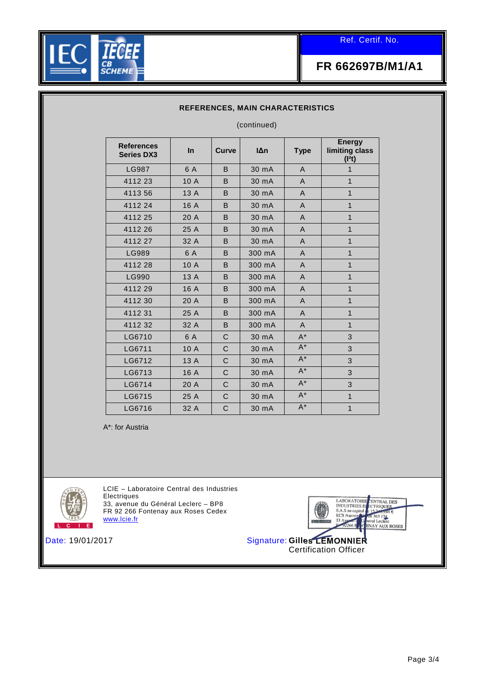

# **FR 662697B/M1/A1**

### **REFERENCES, MAIN CHARACTERISTICS**

#### (continued)

| <b>References</b><br><b>Series DX3</b> | <b>In</b> | <b>Curve</b> | <b>I</b> An | <b>Type</b>  | <b>Energy</b><br>limiting class<br>(1 <sup>2</sup> t) |
|----------------------------------------|-----------|--------------|-------------|--------------|-------------------------------------------------------|
| <b>LG987</b>                           | 6 A       | <sub>B</sub> | 30 mA       | $\mathsf{A}$ | $\overline{1}$                                        |
| 411223                                 | 10 A      | B            | 30 mA       | $\mathsf{A}$ | $\mathbf{1}$                                          |
| 4113 56                                | 13A       | B            | 30 mA       | $\mathsf{A}$ | 1                                                     |
| 411224                                 | 16 A      | B            | 30 mA       | $\mathsf{A}$ | 1                                                     |
| 411225                                 | 20 A      | B            | 30 mA       | $\mathsf{A}$ | 1                                                     |
| 4112 26                                | 25 A      | B            | 30 mA       | $\mathsf{A}$ | $\overline{1}$                                        |
| 411227                                 | 32 A      | B            | 30 mA       | $\mathsf{A}$ | 1                                                     |
| LG989                                  | 6 A       | B            | 300 mA      | $\mathsf{A}$ | 1                                                     |
| 411228                                 | 10A       | B            | 300 mA      | $\mathsf{A}$ | 1                                                     |
| <b>LG990</b>                           | 13 A      | B            | 300 mA      | A            | $\mathbf{1}$                                          |
| 411229                                 | 16 A      | B            | 300 mA      | $\mathsf{A}$ | 1                                                     |
| 4112 30                                | 20 A      | B            | 300 mA      | A            | 1                                                     |
| 411231                                 | 25 A      | B            | 300 mA      | $\mathsf{A}$ | $\mathbf{1}$                                          |
| 4112 32                                | 32 A      | B            | 300 mA      | $\mathsf{A}$ | $\mathbf{1}$                                          |
| LG6710                                 | 6 A       | C            | 30 mA       | $A^*$        | 3                                                     |
| LG6711                                 | 10 A      | C            | 30 mA       | $A^*$        | 3                                                     |
| LG6712                                 | 13A       | $\mathsf{C}$ | 30 mA       | $A^*$        | 3                                                     |
| LG6713                                 | 16 A      | C            | 30 mA       | $A^*$        | 3                                                     |
| LG6714                                 | 20 A      | C            | 30 mA       | $A^*$        | 3                                                     |
| LG6715                                 | 25 A      | C            | 30 mA       | $A^*$        | $\mathbf{1}$                                          |
| LG6716                                 | 32 A      | C            | 30 mA       | $A^*$        | $\mathbf{1}$                                          |

A\*: for Austria



LCIE – Laboratoire Central des Industries Electriques 33, avenue du Général Leclerc – BP8 FR 92 266 Fontenay aux Roses Cedex www.lcie.fr